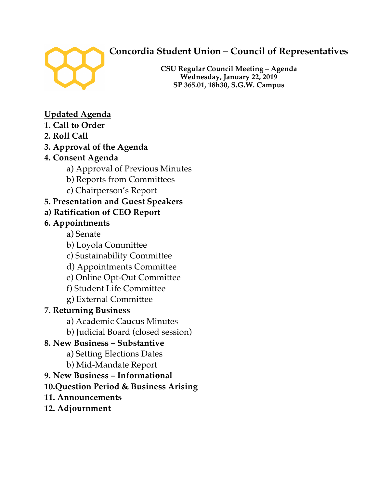

# **Concordia Student Union – Council of Representatives**

**CSU Regular Council Meeting – Agenda Wednesday, January 22, 2019 SP 365.01, 18h30, S.G.W. Campus**

# **Updated Agenda**

- **1. Call to Order**
- **2. Roll Call**

# **3. Approval of the Agenda**

- **4. Consent Agenda** 
	- a) Approval of Previous Minutes
	- b) Reports from Committees
	- c) Chairperson's Report

# **5. Presentation and Guest Speakers**

**a) Ratification of CEO Report** 

# **6. Appointments**

- a) Senate
- b) Loyola Committee
- c) Sustainability Committee
- d) Appointments Committee
- e) Online Opt-Out Committee
- f) Student Life Committee
- g) External Committee

# **7. Returning Business**

- a) Academic Caucus Minutes
- b) Judicial Board (closed session)

# **8. New Business – Substantive**

- a) Setting Elections Dates
- b) Mid-Mandate Report
- **9. New Business – Informational**
- **10.Question Period & Business Arising**
- **11. Announcements**
- **12. Adjournment**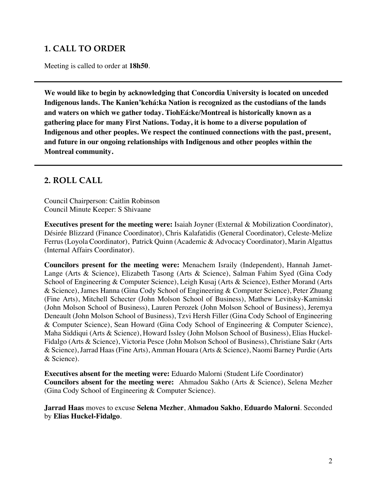# **1. CALL TO ORDER**

Meeting is called to order at **18h50**.

**We would like to begin by acknowledging that Concordia University is located on unceded Indigenous lands. The Kanien'kehá:ka Nation is recognized as the custodians of the lands and waters on which we gather today. TiohEá:ke/Montreal is historically known as a gathering place for many First Nations. Today, it is home to a diverse population of Indigenous and other peoples. We respect the continued connections with the past, present, and future in our ongoing relationships with Indigenous and other peoples within the Montreal community.**

## **2. ROLL CALL**

Council Chairperson: Caitlin Robinson Council Minute Keeper: S Shivaane

**Executives present for the meeting were:** Isaiah Joyner (External & Mobilization Coordinator), Désirée Blizzard (Finance Coordinator), Chris Kalafatidis (General Coordinator), Celeste-Melize Ferrus (Loyola Coordinator), Patrick Quinn (Academic & Advocacy Coordinator), Marin Algattus (Internal Affairs Coordinator).

**Councilors present for the meeting were:** Menachem Israily (Independent), Hannah Jamet-Lange (Arts & Science), Elizabeth Tasong (Arts & Science), Salman Fahim Syed (Gina Cody School of Engineering & Computer Science), Leigh Kusaj (Arts & Science), Esther Morand (Arts & Science), James Hanna (Gina Cody School of Engineering & Computer Science), Peter Zhuang (Fine Arts), Mitchell Schecter (John Molson School of Business), Mathew Levitsky-Kaminski (John Molson School of Business), Lauren Perozek (John Molson School of Business), Jeremya Deneault (John Molson School of Business), Tzvi Hersh Filler (Gina Cody School of Engineering & Computer Science), Sean Howard (Gina Cody School of Engineering & Computer Science), Maha Siddiqui (Arts & Science), Howard Issley (John Molson School of Business), Elias Huckel-Fidalgo (Arts & Science), Victoria Pesce (John Molson School of Business), Christiane Sakr (Arts & Science), Jarrad Haas (Fine Arts), Amman Houara (Arts & Science), Naomi Barney Purdie (Arts & Science).

**Executives absent for the meeting were:** Eduardo Malorni (Student Life Coordinator) **Councilors absent for the meeting were:** Ahmadou Sakho (Arts & Science), Selena Mezher (Gina Cody School of Engineering & Computer Science).

**Jarrad Haas** moves to excuse **Selena Mezher**, **Ahmadou Sakho**, **Eduardo Malorni**. Seconded by **Elias Huckel-Fidalgo**.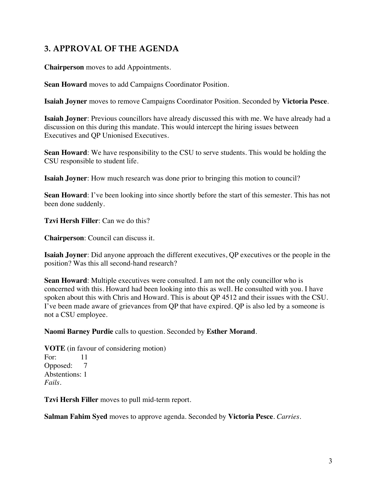# **3. APPROVAL OF THE AGENDA**

**Chairperson** moves to add Appointments.

**Sean Howard** moves to add Campaigns Coordinator Position.

**Isaiah Joyner** moves to remove Campaigns Coordinator Position. Seconded by **Victoria Pesce**.

**Isaiah Joyner**: Previous councillors have already discussed this with me. We have already had a discussion on this during this mandate. This would intercept the hiring issues between Executives and QP Unionised Executives.

**Sean Howard**: We have responsibility to the CSU to serve students. This would be holding the CSU responsible to student life.

**Isaiah Joyner**: How much research was done prior to bringing this motion to council?

**Sean Howard**: I've been looking into since shortly before the start of this semester. This has not been done suddenly.

**Tzvi Hersh Filler**: Can we do this?

**Chairperson**: Council can discuss it.

**Isaiah Joyner**: Did anyone approach the different executives, QP executives or the people in the position? Was this all second-hand research?

**Sean Howard**: Multiple executives were consulted. I am not the only councillor who is concerned with this. Howard had been looking into this as well. He consulted with you. I have spoken about this with Chris and Howard. This is about QP 4512 and their issues with the CSU. I've been made aware of grievances from QP that have expired. QP is also led by a someone is not a CSU employee.

**Naomi Barney Purdie** calls to question. Seconded by **Esther Morand**.

**VOTE** (in favour of considering motion) For: 11 Opposed: 7 Abstentions: 1 *Fails.* 

**Tzvi Hersh Filler** moves to pull mid-term report.

**Salman Fahim Syed** moves to approve agenda. Seconded by **Victoria Pesce**. *Carries.*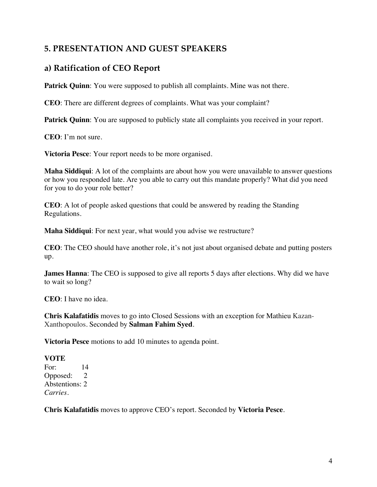# **5. PRESENTATION AND GUEST SPEAKERS**

# **a) Ratification of CEO Report**

**Patrick Quinn**: You were supposed to publish all complaints. Mine was not there.

**CEO**: There are different degrees of complaints. What was your complaint?

**Patrick Quinn**: You are supposed to publicly state all complaints you received in your report.

**CEO**: I'm not sure.

**Victoria Pesce**: Your report needs to be more organised.

**Maha Siddiqui**: A lot of the complaints are about how you were unavailable to answer questions or how you responded late. Are you able to carry out this mandate properly? What did you need for you to do your role better?

**CEO**: A lot of people asked questions that could be answered by reading the Standing Regulations.

**Maha Siddiqui**: For next year, what would you advise we restructure?

**CEO**: The CEO should have another role, it's not just about organised debate and putting posters up.

**James Hanna:** The CEO is supposed to give all reports 5 days after elections. Why did we have to wait so long?

**CEO**: I have no idea.

**Chris Kalafatidis** moves to go into Closed Sessions with an exception for Mathieu Kazan-Xanthopoulos. Seconded by **Salman Fahim Syed**.

**Victoria Pesce** motions to add 10 minutes to agenda point.

#### **VOTE**

For: 14 Opposed: 2 Abstentions: 2 *Carries.* 

**Chris Kalafatidis** moves to approve CEO's report. Seconded by **Victoria Pesce**.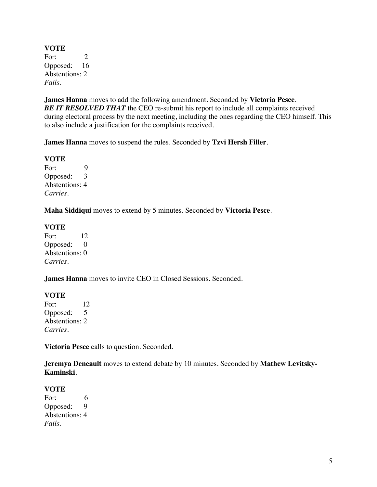**VOTE** For: 2 Opposed: 16 Abstentions: 2 *Fails.*

**James Hanna** moves to add the following amendment. Seconded by **Victoria Pesce**. *BE IT RESOLVED THAT* the CEO re-submit his report to include all complaints received during electoral process by the next meeting, including the ones regarding the CEO himself. This to also include a justification for the complaints received.

**James Hanna** moves to suspend the rules. Seconded by **Tzvi Hersh Filler**.

**VOTE** For: 9 Opposed: 3 Abstentions: 4 *Carries.*

**Maha Siddiqui** moves to extend by 5 minutes. Seconded by **Victoria Pesce**.

**VOTE**

For: 12 Opposed: 0 Abstentions: 0 *Carries.*

**James Hanna** moves to invite CEO in Closed Sessions. Seconded.

#### **VOTE**

For: 12 Opposed: 5 Abstentions: 2 *Carries.* 

**Victoria Pesce** calls to question. Seconded.

**Jeremya Deneault** moves to extend debate by 10 minutes. Seconded by **Mathew Levitsky-Kaminski**.

#### **VOTE**

For: 6 Opposed: 9 Abstentions: 4 *Fails.*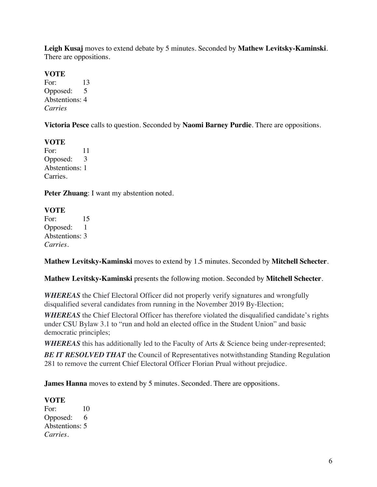**Leigh Kusaj** moves to extend debate by 5 minutes. Seconded by **Mathew Levitsky-Kaminski**. There are oppositions.

### **VOTE**

For: 13 Opposed: 5 Abstentions: 4 *Carries*

**Victoria Pesce** calls to question. Seconded by **Naomi Barney Purdie**. There are oppositions.

**VOTE** For: 11<br>Opposed: 3 Opposed: Abstentions: 1 Carries.

**Peter Zhuang**: I want my abstention noted.

### **VOTE**

For: 15 Opposed: 1 Abstentions: 3 *Carries.* 

**Mathew Levitsky-Kaminski** moves to extend by 1.5 minutes. Seconded by **Mitchell Schecter**.

**Mathew Levitsky-Kaminski** presents the following motion. Seconded by **Mitchell Schecter**.

*WHEREAS* the Chief Electoral Officer did not properly verify signatures and wrongfully disqualified several candidates from running in the November 2019 By-Election;

*WHEREAS* the Chief Electoral Officer has therefore violated the disqualified candidate's rights under CSU Bylaw 3.1 to "run and hold an elected office in the Student Union" and basic democratic principles;

*WHEREAS* this has additionally led to the Faculty of Arts & Science being under-represented;

**BE IT RESOLVED THAT** the Council of Representatives notwithstanding Standing Regulation 281 to remove the current Chief Electoral Officer Florian Prual without prejudice.

**James Hanna** moves to extend by 5 minutes. Seconded. There are oppositions.

## **VOTE**

For: 10 Opposed: 6 Abstentions: 5 *Carries.*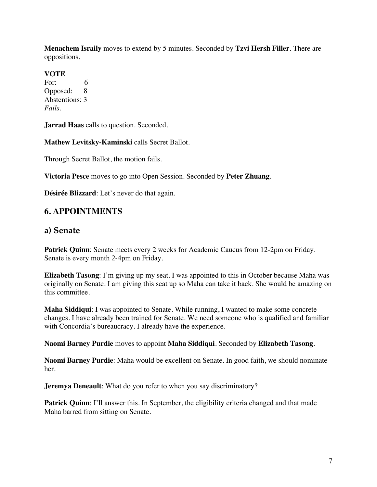**Menachem Israily** moves to extend by 5 minutes. Seconded by **Tzvi Hersh Filler**. There are oppositions.

#### **VOTE**

For: 6 Opposed: 8 Abstentions: 3 *Fails.* 

**Jarrad Haas** calls to question. Seconded.

**Mathew Levitsky-Kaminski** calls Secret Ballot.

Through Secret Ballot, the motion fails.

**Victoria Pesce** moves to go into Open Session. Seconded by **Peter Zhuang**.

**Désirée Blizzard**: Let's never do that again.

## **6. APPOINTMENTS**

### **a) Senate**

**Patrick Quinn**: Senate meets every 2 weeks for Academic Caucus from 12-2pm on Friday. Senate is every month 2-4pm on Friday.

**Elizabeth Tasong**: I'm giving up my seat. I was appointed to this in October because Maha was originally on Senate. I am giving this seat up so Maha can take it back. She would be amazing on this committee.

**Maha Siddiqui**: I was appointed to Senate. While running, I wanted to make some concrete changes. I have already been trained for Senate. We need someone who is qualified and familiar with Concordia's bureaucracy. I already have the experience.

**Naomi Barney Purdie** moves to appoint **Maha Siddiqui**. Seconded by **Elizabeth Tasong**.

**Naomi Barney Purdie**: Maha would be excellent on Senate. In good faith, we should nominate her.

**Jeremya Deneault:** What do you refer to when you say discriminatory?

**Patrick Quinn:** I'll answer this. In September, the eligibility criteria changed and that made Maha barred from sitting on Senate.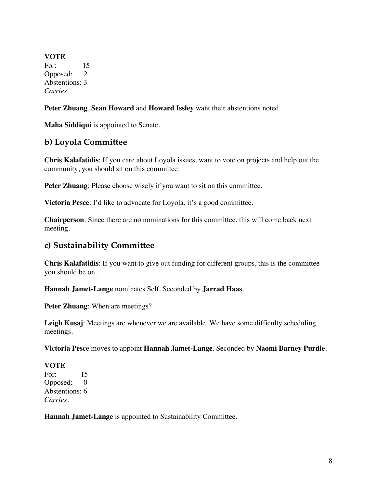**VOTE** For: 15 Opposed: 2 Abstentions: 3 *Carries.* 

**Peter Zhuang**, **Sean Howard** and **Howard Issley** want their abstentions noted.

**Maha Siddiqui** is appointed to Senate.

### **b) Loyola Committee**

**Chris Kalafatidis**: If you care about Loyola issues, want to vote on projects and help out the community, you should sit on this committee.

**Peter Zhuang**: Please choose wisely if you want to sit on this committee.

**Victoria Pesce**: I'd like to advocate for Loyola, it's a good committee.

**Chairperson**: Since there are no nominations for this committee, this will come back next meeting.

### **c) Sustainability Committee**

**Chris Kalafatidis**: If you want to give out funding for different groups, this is the committee you should be on.

**Hannah Jamet-Lange** nominates Self. Seconded by **Jarrad Haas**.

**Peter Zhuang**: When are meetings?

**Leigh Kusaj**: Meetings are whenever we are available. We have some difficulty scheduling meetings.

**Victoria Pesce** moves to appoint **Hannah Jamet-Lange**. Seconded by **Naomi Barney Purdie**.

#### **VOTE**

For: 15 Opposed: 0 Abstentions: 6 *Carries.* 

**Hannah Jamet-Lange** is appointed to Sustainability Committee.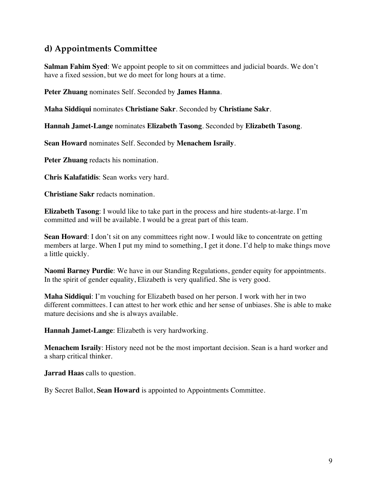# **d) Appointments Committee**

**Salman Fahim Syed:** We appoint people to sit on committees and judicial boards. We don't have a fixed session, but we do meet for long hours at a time.

**Peter Zhuang** nominates Self. Seconded by **James Hanna**.

**Maha Siddiqui** nominates **Christiane Sakr**. Seconded by **Christiane Sakr**.

**Hannah Jamet-Lange** nominates **Elizabeth Tasong**. Seconded by **Elizabeth Tasong**.

**Sean Howard** nominates Self. Seconded by **Menachem Israily**.

**Peter Zhuang** redacts his nomination.

**Chris Kalafatidis**: Sean works very hard.

**Christiane Sakr** redacts nomination.

**Elizabeth Tasong**: I would like to take part in the process and hire students-at-large. I'm committed and will be available. I would be a great part of this team.

**Sean Howard:** I don't sit on any committees right now. I would like to concentrate on getting members at large. When I put my mind to something, I get it done. I'd help to make things move a little quickly.

**Naomi Barney Purdie**: We have in our Standing Regulations, gender equity for appointments. In the spirit of gender equality, Elizabeth is very qualified. She is very good.

**Maha Siddiqui**: I'm vouching for Elizabeth based on her person. I work with her in two different committees. I can attest to her work ethic and her sense of unbiases. She is able to make mature decisions and she is always available.

**Hannah Jamet-Lange**: Elizabeth is very hardworking.

**Menachem Israily**: History need not be the most important decision. Sean is a hard worker and a sharp critical thinker.

**Jarrad Haas** calls to question.

By Secret Ballot, **Sean Howard** is appointed to Appointments Committee.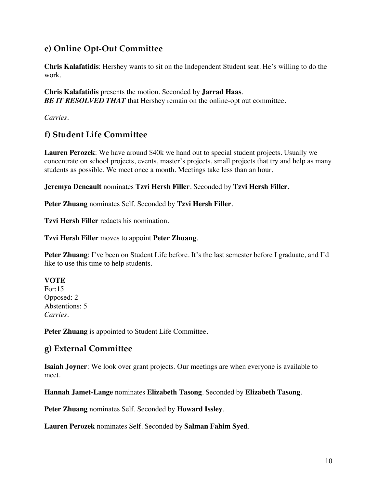# **e) Online Opt-Out Committee**

**Chris Kalafatidis**: Hershey wants to sit on the Independent Student seat. He's willing to do the work.

**Chris Kalafatidis** presents the motion. Seconded by **Jarrad Haas**. **BE IT RESOLVED THAT** that Hershey remain on the online-opt out committee.

*Carries.*

# **f) Student Life Committee**

**Lauren Perozek**: We have around \$40k we hand out to special student projects. Usually we concentrate on school projects, events, master's projects, small projects that try and help as many students as possible. We meet once a month. Meetings take less than an hour.

**Jeremya Deneault** nominates **Tzvi Hersh Filler**. Seconded by **Tzvi Hersh Filler**.

**Peter Zhuang** nominates Self. Seconded by **Tzvi Hersh Filler**.

**Tzvi Hersh Filler** redacts his nomination.

**Tzvi Hersh Filler** moves to appoint **Peter Zhuang**.

**Peter Zhuang**: I've been on Student Life before. It's the last semester before I graduate, and I'd like to use this time to help students.

#### **VOTE**

For:15 Opposed: 2 Abstentions: 5 *Carries.* 

**Peter Zhuang** is appointed to Student Life Committee.

## **g) External Committee**

**Isaiah Joyner**: We look over grant projects. Our meetings are when everyone is available to meet.

**Hannah Jamet-Lange** nominates **Elizabeth Tasong**. Seconded by **Elizabeth Tasong**.

**Peter Zhuang** nominates Self. Seconded by **Howard Issley**.

**Lauren Perozek** nominates Self. Seconded by **Salman Fahim Syed**.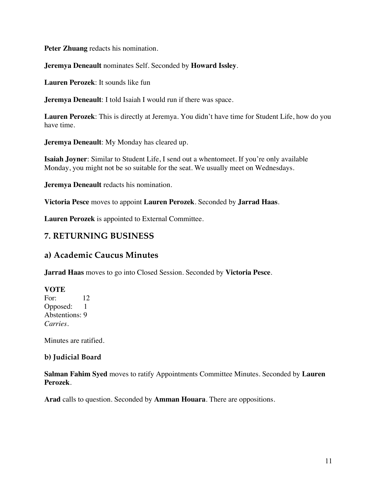**Peter Zhuang** redacts his nomination.

**Jeremya Deneault** nominates Self. Seconded by **Howard Issley**.

**Lauren Perozek**: It sounds like fun

**Jeremya Deneault**: I told Isaiah I would run if there was space.

**Lauren Perozek**: This is directly at Jeremya. You didn't have time for Student Life, how do you have time.

**Jeremya Deneault**: My Monday has cleared up.

**Isaiah Joyner**: Similar to Student Life, I send out a whentomeet. If you're only available Monday, you might not be so suitable for the seat. We usually meet on Wednesdays.

**Jeremya Deneault** redacts his nomination.

**Victoria Pesce** moves to appoint **Lauren Perozek**. Seconded by **Jarrad Haas**.

**Lauren Perozek** is appointed to External Committee.

## **7. RETURNING BUSINESS**

## **a) Academic Caucus Minutes**

**Jarrad Haas** moves to go into Closed Session. Seconded by **Victoria Pesce**.

**VOTE** For: 12 Opposed: 1 Abstentions: 9 *Carries.*

Minutes are ratified.

#### **b) Judicial Board**

**Salman Fahim Syed** moves to ratify Appointments Committee Minutes. Seconded by **Lauren Perozek**.

**Arad** calls to question. Seconded by **Amman Houara**. There are oppositions.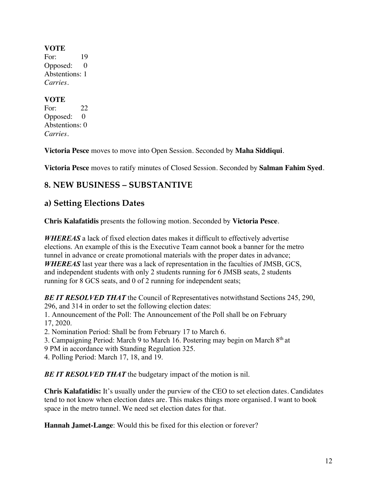#### **VOTE**

For: 19 Opposed: 0 Abstentions: 1 *Carries.* 

### **VOTE**

For: 22 Opposed: 0 Abstentions: 0 *Carries.* 

**Victoria Pesce** moves to move into Open Session. Seconded by **Maha Siddiqui**.

**Victoria Pesce** moves to ratify minutes of Closed Session. Seconded by **Salman Fahim Syed**.

# **8. NEW BUSINESS – SUBSTANTIVE**

# **a) Setting Elections Dates**

**Chris Kalafatidis** presents the following motion. Seconded by **Victoria Pesce**.

*WHEREAS* a lack of fixed election dates makes it difficult to effectively advertise elections. An example of this is the Executive Team cannot book a banner for the metro tunnel in advance or create promotional materials with the proper dates in advance; *WHEREAS* last year there was a lack of representation in the faculties of JMSB, GCS, and independent students with only 2 students running for 6 JMSB seats, 2 students running for 8 GCS seats, and 0 of 2 running for independent seats;

*BE IT RESOLVED THAT* the Council of Representatives notwithstand Sections 245, 290, 296, and 314 in order to set the following election dates:

1. Announcement of the Poll: The Announcement of the Poll shall be on February 17, 2020.

2. Nomination Period: Shall be from February 17 to March 6.

3. Campaigning Period: March 9 to March 16. Postering may begin on March  $8<sup>th</sup>$  at

9 PM in accordance with Standing Regulation 325.

4. Polling Period: March 17, 18, and 19.

**BE IT RESOLVED THAT** the budgetary impact of the motion is nil.

**Chris Kalafatidis:** It's usually under the purview of the CEO to set election dates. Candidates tend to not know when election dates are. This makes things more organised. I want to book space in the metro tunnel. We need set election dates for that.

**Hannah Jamet-Lange**: Would this be fixed for this election or forever?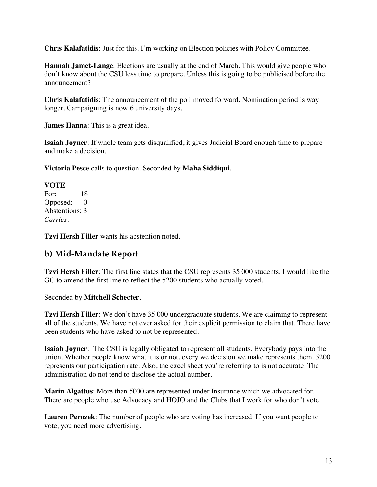**Chris Kalafatidis**: Just for this. I'm working on Election policies with Policy Committee.

**Hannah Jamet-Lange**: Elections are usually at the end of March. This would give people who don't know about the CSU less time to prepare. Unless this is going to be publicised before the announcement?

**Chris Kalafatidis**: The announcement of the poll moved forward. Nomination period is way longer. Campaigning is now 6 university days.

**James Hanna**: This is a great idea.

**Isaiah Joyner**: If whole team gets disqualified, it gives Judicial Board enough time to prepare and make a decision.

**Victoria Pesce** calls to question. Seconded by **Maha Siddiqui**.

#### **VOTE**

For: 18 Opposed: 0 Abstentions: 3 *Carries.* 

**Tzvi Hersh Filler** wants his abstention noted.

## **b) Mid-Mandate Report**

**Tzvi Hersh Filler**: The first line states that the CSU represents 35 000 students. I would like the GC to amend the first line to reflect the 5200 students who actually voted.

#### Seconded by **Mitchell Schecter**.

**Tzvi Hersh Filler**: We don't have 35 000 undergraduate students. We are claiming to represent all of the students. We have not ever asked for their explicit permission to claim that. There have been students who have asked to not be represented.

**Isaiah Joyner**: The CSU is legally obligated to represent all students. Everybody pays into the union. Whether people know what it is or not, every we decision we make represents them. 5200 represents our participation rate. Also, the excel sheet you're referring to is not accurate. The administration do not tend to disclose the actual number.

**Marin Algattus**: More than 5000 are represented under Insurance which we advocated for. There are people who use Advocacy and HOJO and the Clubs that I work for who don't vote.

**Lauren Perozek**: The number of people who are voting has increased. If you want people to vote, you need more advertising.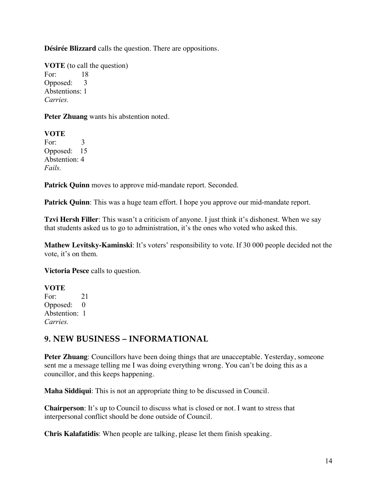**Désirée Blizzard** calls the question. There are oppositions.

**VOTE** (to call the question) For: 18 Opposed: 3 Abstentions: 1 *Carries.*

**Peter Zhuang** wants his abstention noted.

**VOTE** For: 3 Opposed: 15 Abstention: 4 *Fails.* 

Patrick Quinn moves to approve mid-mandate report. Seconded.

**Patrick Quinn**: This was a huge team effort. I hope you approve our mid-mandate report.

**Tzvi Hersh Filler**: This wasn't a criticism of anyone. I just think it's dishonest. When we say that students asked us to go to administration, it's the ones who voted who asked this.

**Mathew Levitsky-Kaminski**: It's voters' responsibility to vote. If 30 000 people decided not the vote, it's on them.

**Victoria Pesce** calls to question.

#### **VOTE**

For: 21 Opposed: 0 Abstention: 1 *Carries.* 

### **9. NEW BUSINESS – INFORMATIONAL**

**Peter Zhuang**: Councillors have been doing things that are unacceptable. Yesterday, someone sent me a message telling me I was doing everything wrong. You can't be doing this as a councillor, and this keeps happening.

**Maha Siddiqui**: This is not an appropriate thing to be discussed in Council.

**Chairperson**: It's up to Council to discuss what is closed or not. I want to stress that interpersonal conflict should be done outside of Council.

**Chris Kalafatidis**: When people are talking, please let them finish speaking.